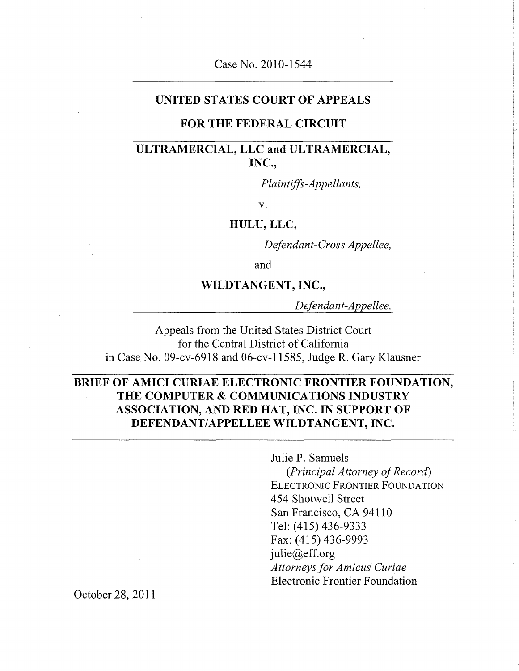### Case No. 2010-1544

### **UNITED STATES COURT OF APPEALS**

### **FOR THE FEDERAL CIRCUIT**

### **ULTRAMERCIAL, LLC and ULTRAMERCIAL, INC.,**

*Plaintiffs-Appellants,* 

v.

**HULU, LLC,** 

*Defendant-Cross Appellee,* 

and

### **WILDTANGENT, INC.,**

*Defendant-Appellee.* 

Appeals from the United States District Court for the Central District of California in Case No. 09-cv-6918 and 06-cv-l 1585, Judge R. Gary Klausner

### **BRIEF OF AMICI CURIAE ELECTRONIC FRONTIER FOUNDATION, THE COMPUTER & COMMUNICATIONS INDUSTRY ASSOCIATION, AND RED HAT, INC. IN SUPPORT OF DEFENDANT/APPELLEE WILDTANGENT, INC.**

Julie P. Samuels *{Principal Attorney of Record)*  ELECTRONIC FRONTIER FOUNDATION 454 Shotwell Street San Francisco, CA 94110 Tel: (415) 436-9333 Fax: (415) 436-9993 julie@eff.org *Attorneys for Amicus Curiae*  Electronic Frontier Foundation

October 28, 2011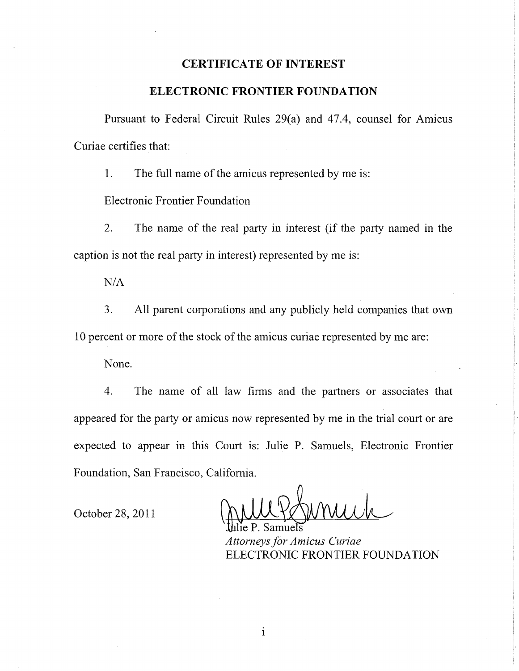### **CERTIFICATE OF INTEREST**

### **ELECTRONIC FRONTIER FOUNDATION**

Pursuant to Federal Circuit Rules 29(a) and 47.4, counsel for Amicus Curiae certifies that:

1. The full name of the amicus represented by me is:

Electronic Frontier Foundation

2. The name of the real party in interest (if the party named in the caption is not the real party in interest) represented by me is:

N/A

3. All parent corporations and any publicly held companies that own 10 percent or more of the stock of the amicus curiae represented by me are:

None.

4. The name of all law firms and the partners or associates that appeared for the party or amicus now represented by me in the trial court or are expected to appear in this Court is: Julie P. Samuels, Electronic Frontier Foundation, San Francisco, California.

October 28, 2011

Jühlie P. Samuels

*Attorneys for Amicus Curiae*  ELECTRONIC FRONTIER FOUNDATION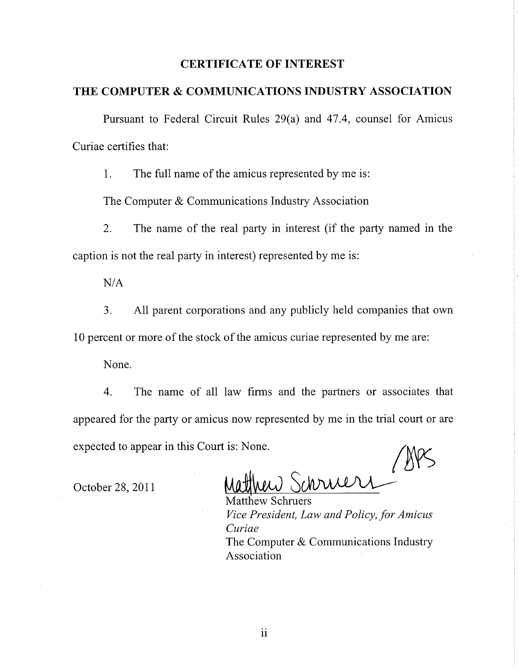### **CERTIFICATE OF INTEREST**

### **THE COMPUTER & COMMUNICATIONS INDUSTRY ASSOCIATION**

Pursuant to Federal Circuit Rules 29(a) and 47.4, counsel for Amicus Curiae certifies that:

1. The full name of the amicus represented by me is:

The Computer & Communications Industry Association

2. The name of the real party in interest (if the party named in the caption is not the real party in interest) represented by me is:

N/A

3. All parent corporations and any publicly held companies that own 10 percent or more of the stock of the amicus curiae represented by me are:

None.

4. The name of all law firms and the partners or associates that appeared for the party or amicus now represented by me in the trial court or are expected to appear in this Court is: None.

October 28, 2011

Matthew Schruers *Vice President, Law and Policy, for Amicus Curiae*  The Computer & Communications Industry Association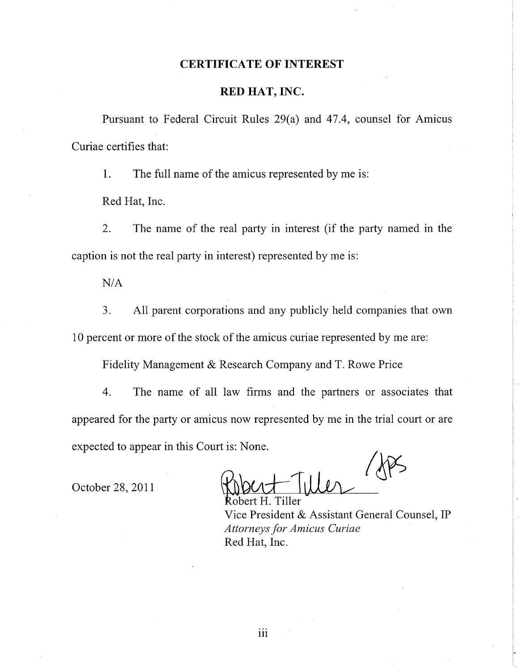#### **CERTIFICATE OF INTEREST**

### **RED HAT, INC.**

Pursuant to Federal Circuit Rules 29(a) and 47.4, counsel for Amicus Curiae certifies that:

1. The full name of the amicus represented by me is:

Red Hat, Inc.

2. The name of the real party in interest (if the party named in the caption is not the real party in interest) represented by me is:

N/A

3. All parent corporations and any publicly held companies that own 10 percent or more of the stock of the amicus curiae represented by me are:

Fidelity Management & Research Company and T. Rowe Price

4. The name of all law firms and the partners or associates that appeared for the party or amicus now represented by me in the trial court or are expected to appear in this Court is: None.

October 28, 2011

hert H. Tiller Vice President & Assistant General Counsel, IP *Attorneys for Amicus Curiae*  Red Hat, Inc.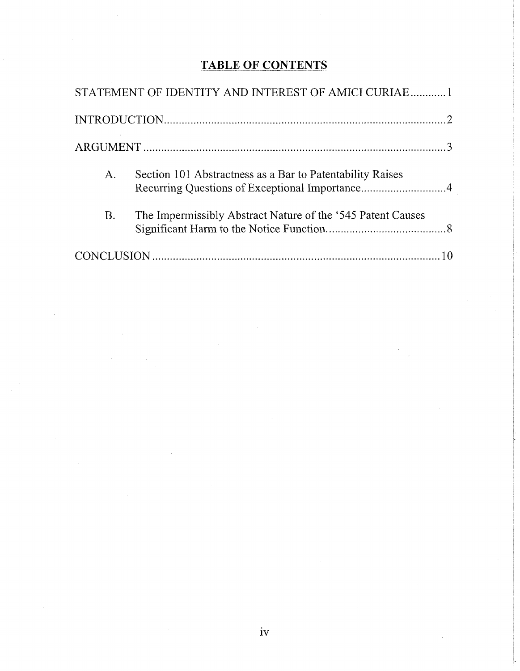# **TABLE OF CONTENTS**

|             | STATEMENT OF IDENTITY AND INTEREST OF AMICI CURIAE1                                                         |  |
|-------------|-------------------------------------------------------------------------------------------------------------|--|
|             |                                                                                                             |  |
|             |                                                                                                             |  |
| $A_{\cdot}$ | Section 101 Abstractness as a Bar to Patentability Raises<br>Recurring Questions of Exceptional Importance4 |  |
| <b>B.</b>   | The Impermissibly Abstract Nature of the '545 Patent Causes                                                 |  |
|             |                                                                                                             |  |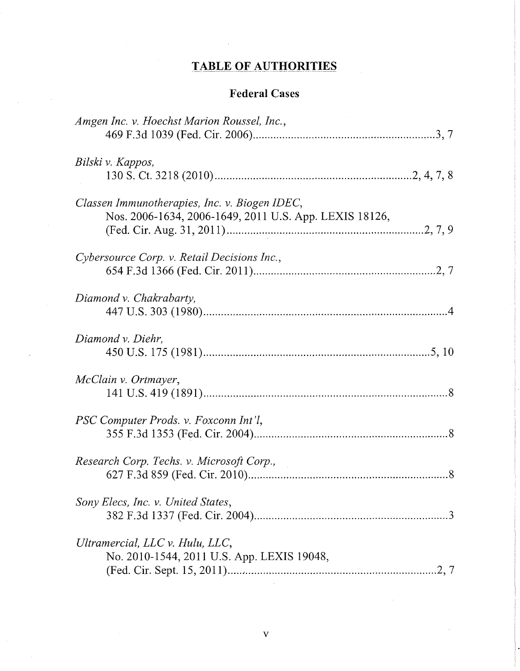# **TABLE OF AUTHORITIES**

 $\cdot$ 

# **Federal Cases**

| Amgen Inc. v. Hoechst Marion Roussel, Inc.,                                   |
|-------------------------------------------------------------------------------|
|                                                                               |
| Bilski v. Kappos,                                                             |
|                                                                               |
| Classen Immunotherapies, Inc. v. Biogen IDEC,                                 |
| Nos. 2006-1634, 2006-1649, 2011 U.S. App. LEXIS 18126,                        |
|                                                                               |
| Cybersource Corp. v. Retail Decisions Inc.,                                   |
|                                                                               |
| Diamond v. Chakrabarty,                                                       |
|                                                                               |
|                                                                               |
| Diamond v. Diehr,                                                             |
|                                                                               |
| McClain v. Ortmayer,                                                          |
|                                                                               |
| PSC Computer Prods. v. Foxconn Int'l,                                         |
|                                                                               |
| Research Corp. Techs. v. Microsoft Corp.,                                     |
|                                                                               |
| Sony Elecs, Inc. v. United States,                                            |
|                                                                               |
|                                                                               |
| Ultramercial, LLC v. Hulu, LLC,<br>No. 2010-1544, 2011 U.S. App. LEXIS 19048, |
|                                                                               |
|                                                                               |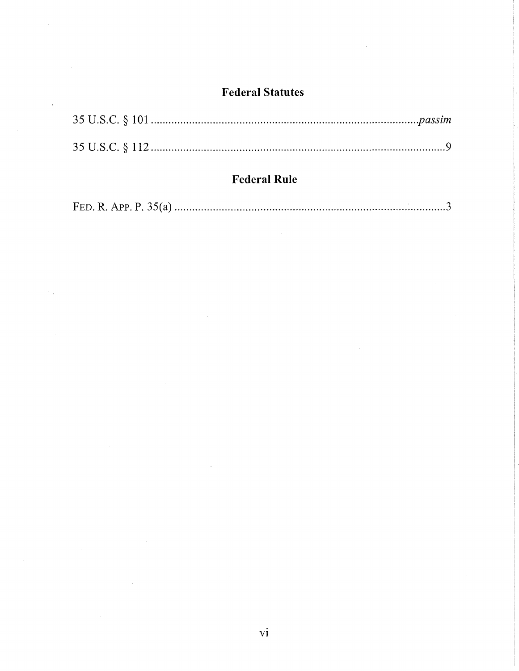# **Federal Statutes**

J,

## **Federai Rule**

|--|--|--|--|--|--|--|--|

 $\mathcal{A}^{\mathcal{A}}$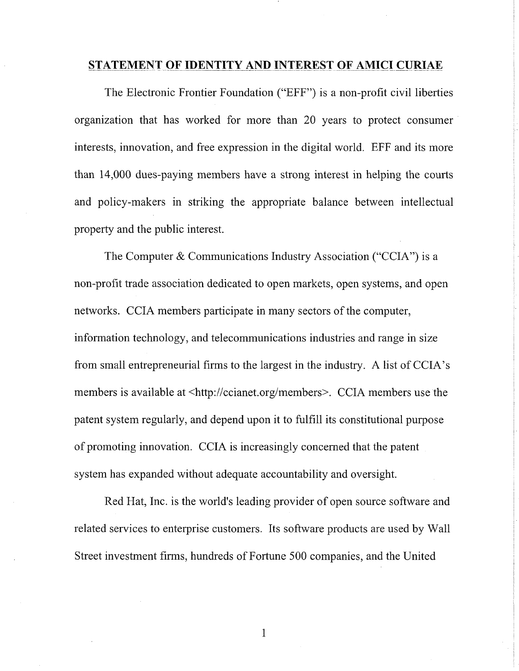#### **STATEMENT OF IDENTITY AND INTEREST OF AMICI CURIAE**

<span id="page-7-0"></span>The Electronic Frontier Foundation ("EFF") is a non-profit civil liberties organization that has worked for more than 20 years to protect consumer interests, innovation, and free expression in the digital world. EFF and its more than 14,000 dues-paying members have a strong interest in helping the courts and policy-makers in striking the appropriate balance between intellectual property and the public interest.

The Computer & Communications Industry Association ("CCIA") is a non-profit trade association dedicated to open markets, open systems, and open networks. CCIA members participate in many sectors of the computer, information technology, and telecommunications industries and range in size from small entrepreneurial firms to the largest in the industry. A list of CCIA's members is available at <[http://ccianet.org/members>](http://ccianet.org/members). CCIA members use the patent system regularly, and depend upon it to fulfill its constitutional purpose of promoting innovation. CCIA is increasingly concerned that the patent system has expanded without adequate accountability and oversight.

Red Hat, Inc. is the world's leading provider of open source software and related services to enterprise customers. Its software products are used by Wall Street investment firms, hundreds of Fortune 500 companies, and the United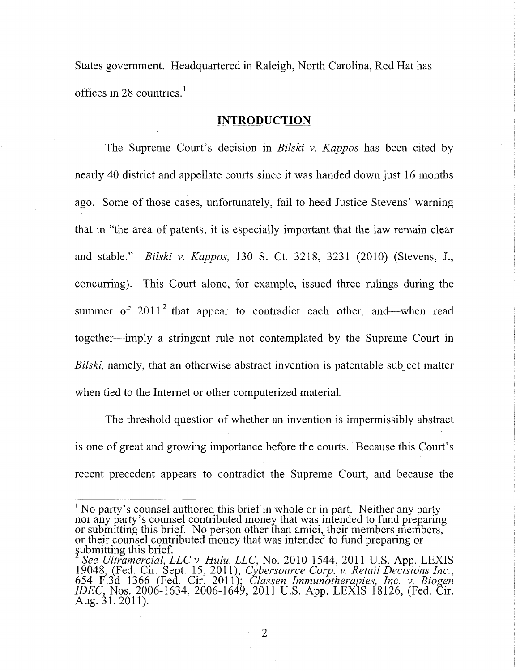States government. Headquartered in Raleigh, North Carolina, Red Hat has offices in 28 countries.<sup>1</sup>

### **INTRODUCTION**

<span id="page-8-0"></span>The Supreme Court's decision in *Bilski v. Kappos* has been cited by nearly 40 district and appellate courts since it was handed down just 16 months ago. Some of those cases, unfortunately, fail to heed Justice Stevens' warning that in "the area of patents, it is especially important that the law remain clear and stable." *Bilski* v. *Kappos,* 130 S. Ct. 3218, 3231 (2010) (Stevens, J., concurring). This Court alone, for example, issued three rulings during the summer of  $2011<sup>2</sup>$  that appear to contradict each other, and—when read together—imply a stringent rule not contemplated by the Supreme Court in Bilski, namely, that an otherwise abstract invention is patentable subject matter when tied to the Internet or other computerized material.

The threshold question of whether an invention is impermissibly abstract is one of great and growing importance before the courts. Because this Court's recent precedent appears to contradict the Supreme Court, and because the

<sup>&</sup>lt;sup>1</sup> No party's counsel authored this brief in whole or in part. Neither any party nor any party's counsel contributed money that was intended to fund preparing or submitting this brief. No person other than amici, their members members, or their counsel contributed money that was intended to fund preparing or

submitting this brief.<br>
<sup>2</sup> See Ultramercial, LLC v. Hulu, LLC, No. 2010-1544, 2011 U.S. App. LEXIS 19048, (Fed. Cir. Sept. 15, 2011); *Cybersource Corp.* v. *Retail Decisions Inc.,*  654 F.3d 1366 (Fed. Cir. 2011); *Classen Immunotherapies, Inc. v. Biogen IDEC,* Nos. 2006-1634, 2006-1649, 2011 U.S. App. LEXIS 18126, (Fed. Cir. Aug. 31,2011).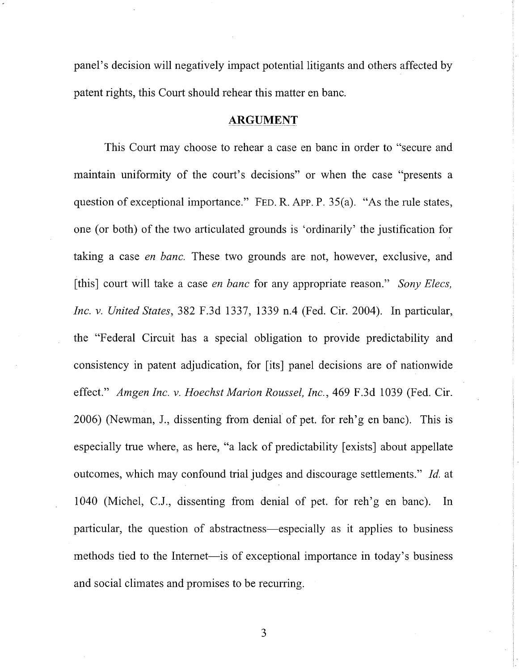panel's decision will negatively impact potential litigants and others affected by patent rights, this Court should rehear this matter en banc.

#### **ARGUMENT**

<span id="page-9-0"></span>This Court may choose to rehear a case en banc in order to "secure and maintain uniformity of the court's decisions" or when the case "presents a question of exceptional importance." FED. R. APP. P. 35(a). "As the rule states, one (or both) of the two articulated grounds is 'ordinarily' the justification for taking a case *en banc.* These two grounds are not, however, exclusive, and [this] court will take a case *en banc* for any appropriate reason." *Sony Elecs, Inc. v. United States,* 382 F.3d 1337, 1339 n.4 (Fed. Cir. 2004). In particular, the "Federal Circuit has a special obligation to provide predictability and consistency in patent adjudication, for [its] panel decisions are of nationwide effect." *Amgen Inc. v. Hoechst Marion Roussel, Inc.,* 469 F.3d 1039 (Fed. Cir. 2006) (Newman, J., dissenting from denial of pet. for reh'g en banc). This is especially true where, as here, "a lack of predictability [exists] about appellate outcomes, which may confound trial judges and discourage settlements." *Id.* at 1040 (Michel, C.J., dissenting from denial of pet. for reh'g en banc). In particular, the question of abstractness—especially as it applies to business methods tied to the Internet—is of exceptional importance in today's business and social climates and promises to be recurring.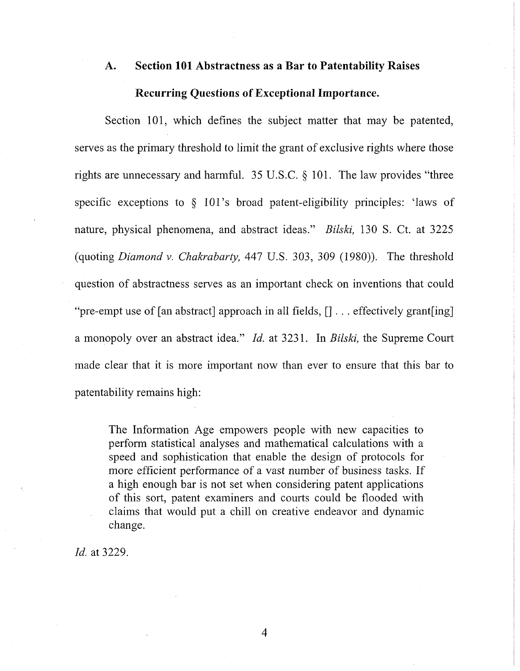# **A. Section 101 Abstractness as a Bar to Patentability Raises Recurring Questions of Exceptional Importance.**

<span id="page-10-0"></span>Section 101, which defines the subject matter that may be patented, serves as the primary threshold to limit the grant of exclusive rights where those rights are unnecessary and harmful. 35 U.S.C. § 101. The law provides "three specific exceptions to § 101's broad patent-eligibility principles: 'laws of nature, physical phenomena, and abstract ideas." *Bilski,* 130 S. Ct. at 3225 (quoting *Diamond* v. *Chakrabarty,* 447 U.S. 303, 309 (1980)). The threshold question of abstractness serves as an important check on inventions that could "pre-empt use of [an abstract] approach in all fields,  $[] \dots$  effectively grant [ing] a monopoly over an abstract idea." *Id.* at 3231. In *Bilski,* the Supreme Court made clear that it is more important now than ever to ensure that this bar to patentability remains high:

The Information Age empowers people with new capacities to perform statistical analyses and mathematical calculations with a speed and sophistication that enable the design of protocols for more efficient performance of a vast number of business tasks. If a high enough bar is not set when considering patent applications of this sort, patent examiners and courts could be flooded with claims that would put a chill on creative endeavor and dynamic change.

*Id.* at 3229.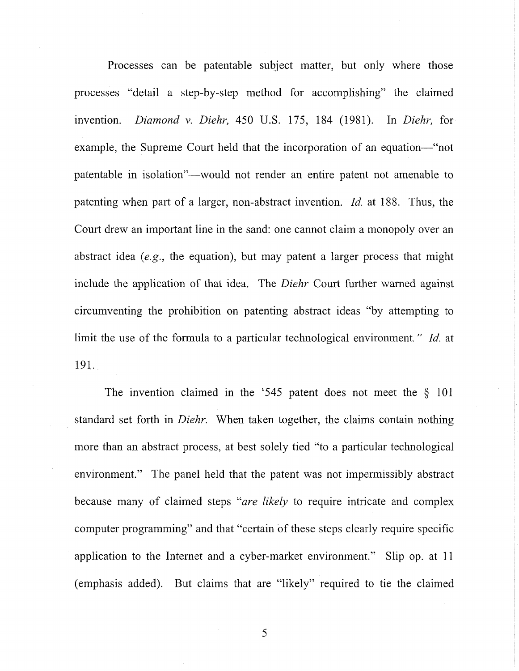Processes can be patentable subject matter, but only where those processes "detail a step-by-step method for accomplishing" the claimed invention. *Diamond* v. *Diehr,* 450 U.S. 175, 184 (1981). In *Diehr,* for example, the Supreme Court held that the incorporation of an equation—"not patentable in isolation"—would not render an entire patent not amenable to patenting when part of a larger, non-abstract invention. *Id.* at 188. Thus, the Court drew an important line in the sand: one cannot claim a monopoly over an abstract idea *(e.g.,* the equation), but may patent a larger process that might include the application of that idea. The *Diehr* Court further warned against circumventing the prohibition on patenting abstract ideas "by attempting to limit the use of the formula to a particular technological environment." *Id.* at 191.

The invention claimed in the '545 patent does not meet the § 101 standard set forth in *Diehr.* When taken together, the claims contain nothing more than an abstract process, at best solely tied "to a particular technological environment." The panel held that the patent was not impermissibly abstract because many of claimed steps "are *likely* to require intricate and complex computer programming" and that "certain of these steps clearly require specific application to the Internet and a cyber-market environment." Slip op. at 11 (emphasis added). But claims that are "likely" required to tie the claimed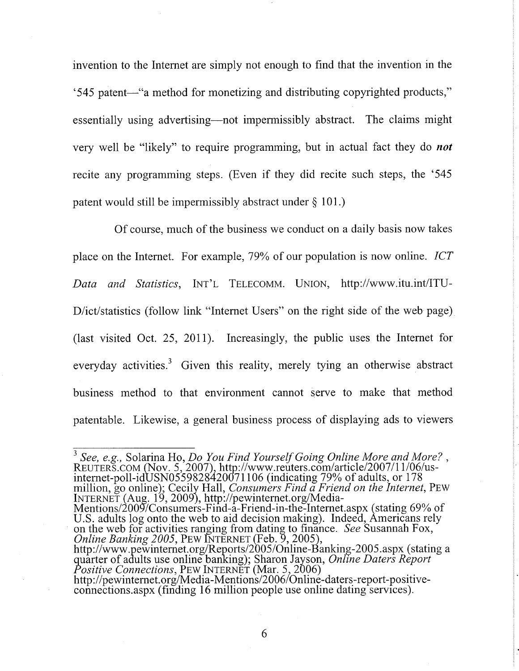invention to the Internet are simply not enough to find that the invention in the '545 patent—"a method for monetizing and distributing copyrighted products," essentially using advertising—not impermissibly abstract. The claims might very well be "likely" to require programming, but in actual fact they do *not*  recite any programming steps. (Even if they did recite such steps, the '545 patent would still be impermissibly abstract under § 101.)

Of course, much of the business we conduct on a daily basis now takes place on the Internet. For example, 79% of our population is now online. *ICT Data and Statistics*, INT'L TELECOMM. UNION, <http://www.itu.int/ITU->D/ict/statistics (follow link "Internet Users" on the right side of the web page) (last visited Oct. 25, 2011). Increasingly, the public uses the Internet for everyday activities.<sup>3</sup> Given this reality, merely tying an otherwise abstract business method to that environment cannot serve to make that method patentable. Likewise, a general business process of displaying ads to viewers

<sup>3</sup> See, e.g., Solarina Ho, *Do You Find Yourself Going Online More and More?*, REUTERS.COM (Nov. 5, 2007), http://www.reuters.com/article/2007/11/06/usinternet-poll-idUSN0559828420071106 (indicating 79% of adults, or 178 million, go online); Cecily Hall, *Consumers Find a Friend on the Internet*, PEW INTERNET (Aug. 19, 2009), <http://pewinternet.org/Media->

Mentions/2009/Consumers-Find-a-Friend-in-the-Internet.aspx (stating 69% of U.S. adults log onto the web to aid decision making). Indeed, Americans rely on the web for activities ranging from dating to finance. *See* Susannah Fox, *Online Banking 2005,* PEW INTERNET (Feb. 9, 2005),

<http://www.pewinternet.org/Reports/2005/Online-Banking-2005.aspx>(stating a quarter of adults use online banking); Sharon Jayson, *Online Daters Report Positive Connections*, PEW INTERNET (Mar. 5, 2006)

[http://pewinternet.org/Media-Mentions/2006/Online-daters-report-positive](http://pewinternet.org/Media-Mentions/2006/Online-daters-report-positive-)connections.aspx (finding 16 million people use online dating services).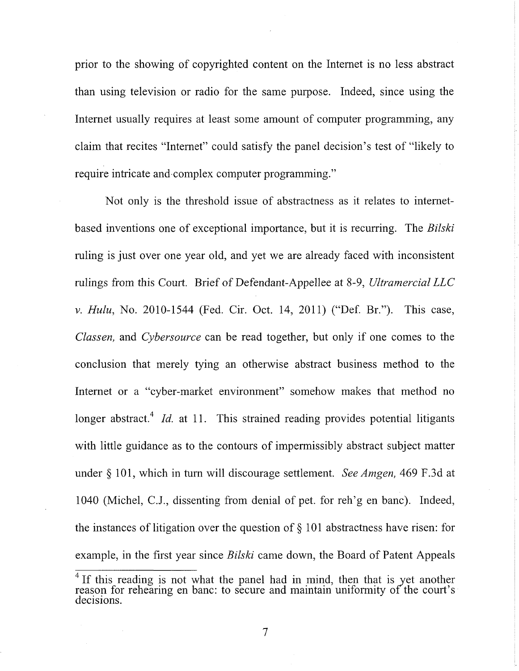prior to the showing of copyrighted content on the Internet is no less abstract than using television or radio for the same purpose. Indeed, since using the Internet usually requires at least some amount of computer programming, any claim that recites "Internet" could satisfy the panel decision's test of "likely to require intricate and complex computer programming."

Not only is the threshold issue of abstractness as it relates to internetbased inventions one of exceptional importance, but it is recurring. The *Bilski*  ruling is just over one year old, and yet we are already faced with inconsistent rulings from this Court. Brief of Defendant-Appellee at 8-9, *Ultramercial LLC*  v. *Hulu,* No. 2010-1544 (Fed. Cir. Oct. 14, 2011) ("Def. Br."). This case, *Classen,* and *Cybersource* can be read together, but only if one comes to the conclusion that merely tying an otherwise abstract business method to the Internet or a "cyber-market environment" somehow makes that method no longer abstract.<sup>4</sup> Id. at 11. This strained reading provides potential litigants with little guidance as to the contours of impermissibly abstract subject matter under § 101, which in turn will discourage settlement. *See Amgen,* 469 F.3d at 1040 (Michel, C.J., dissenting from denial of pet. for reh'g en banc). Indeed, the instances of litigation over the question of  $\S$  101 abstractness have risen: for example, in the first year since *Bilski* came down, the Board of Patent Appeals

<sup>&</sup>lt;sup>4</sup> If this reading is not what the panel had in mind, then that is yet another reason for rehearing en banc: to secure and maintain uniformity of the court's decisions.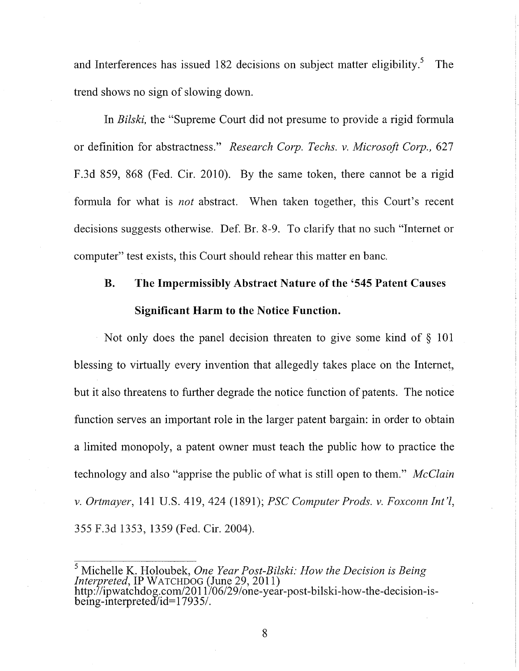and Interferences has issued 182 decisions on subject matter eligibility.<sup>5</sup> The trend shows no sign of slowing down.

In *Bilski,* the "Supreme Court did not presume to provide a rigid formula or definition for abstractness." *Research Corp. Techs,* v. *Microsoft Corp.,* 627 F.3d 859, 868 (Fed. Cir. 2010). By the same token, there cannot be a rigid formula for what is *not* abstract. When taken together, this Court's recent decisions suggests otherwise. Def. Br. 8-9. To clarify that no such "Internet or computer" test exists, this Court should rehear this matter en banc.

# **B. The Impermissibly Abstract Nature of the '545 Patent Causes Significant Harm to the Notice Function.**

<span id="page-14-0"></span>Not only does the panel decision threaten to give some kind of § 101 blessing to virtually every invention that allegedly takes place on the Internet, but it also threatens to further degrade the notice function of patents. The notice function serves an important role in the larger patent bargain: in order to obtain a limited monopoly, a patent owner must teach the public how to practice the technology and also "apprise the public of what is still open to them." *McClain*  v. *Ortmayer,* 141 U.S. 419, 424 (1891); *PSC Computer Prods, v. Foxconn Int'l,*  355 F.3d 1353, 1359 (Fed. Cir. 2004).

<sup>5</sup> Michelle K. Holoubek, *One Year Post-Bilski: How the Decision is Being Interpreted*, IP WATCHDOG (June 29, 2011) [http://ipwatchdog.com/2011/06/29/one-year-post-bilski-how-the-decision-is](http://ipwatchdog.com/2011/06/29/one-year-post-bilski-how-the-decision-is-)being-interpreted/id=17935/.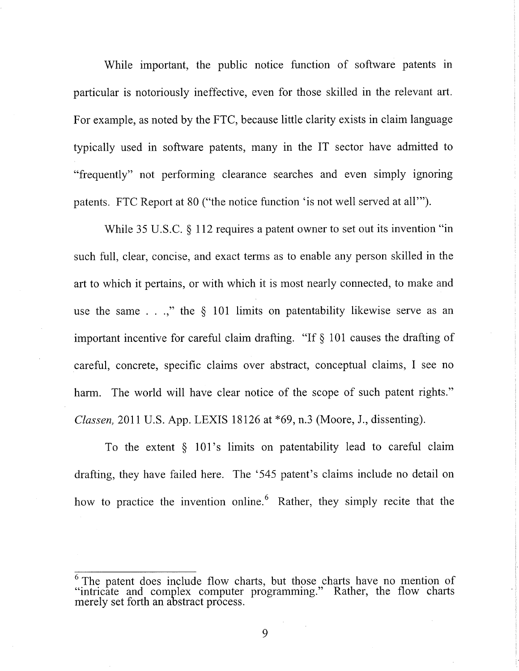While important, the public notice function of software patents in particular is notoriously ineffective, even for those skilled in the relevant art. For example, as noted by the FTC, because little clarity exists in claim language typically used in software patents, many in the IT sector have admitted to "frequently" not performing clearance searches and even simply ignoring patents. FTC Report at 80 ("the notice function 'is not well served at all'").

While 35 U.S.C. § 112 requires a patent owner to set out its invention "in such full, clear, concise, and exact terms as to enable any person skilled in the art to which it pertains, or with which it is most nearly connected, to make and use the same  $\ldots$ ," the § 101 limits on patentability likewise serve as an important incentive for careful claim drafting. "If § 101 causes the drafting of careful, concrete, specific claims over abstract, conceptual claims, I see no harm. The world will have clear notice of the scope of such patent rights." *Classen,* 2011 U.S. App. LEXIS 18126 at \*69, n.3 (Moore, J., dissenting).

To the extent  $\S$  101's limits on patentability lead to careful claim drafting, they have failed here. The '545 patent's claims include no detail on how to practice the invention online. Rather, they simply recite that the

The patent does include flow charts, but those charts have no mention of "intricate and complex computer programming." Rather, the flow charts merely set forth an abstract process.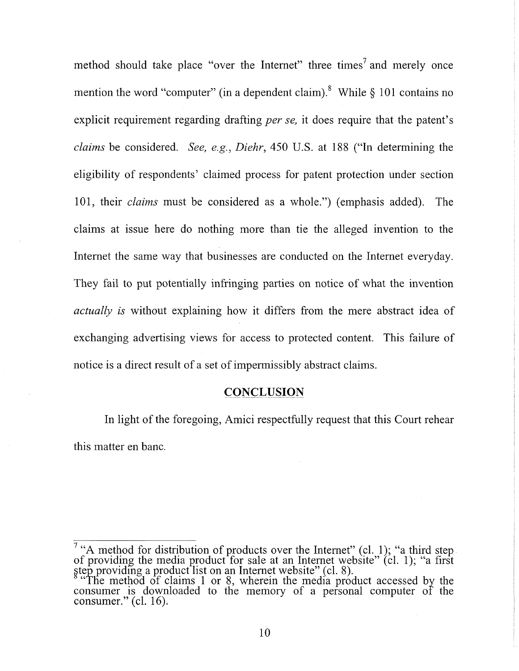method should take place "over the Internet" three times<sup>7</sup> and merely once explicit requirement regarding drafting *per se*, it does require that the patent's claims be considered. See, e.g., Diehr, 450 U.S. at 188 ("In determining the eligibility of respondents' claimed process for patent protection under section 101, their *claims* must be considered as a whole.") (emphasis added). The claims at issue here do nothing more than tie the alleged invention to the claims at issue here do nothing more than tie the alleged invention to the Internet the same way that businesses are conducted on the Internet everyday. They fail to put potentially infringing parties on notice of what the invention *actually is* without explaining how it differs from the mere abstract idea of *actually is* without explaining how it differs from the mere abstract idea of exchanging advertising views for access to protected content. This failure of notice is a direct result of a set of impermissibly abstract claims.

### **CONCLUSION**

<span id="page-16-0"></span>In light of the foregoing, Amici respectfully request that this Court rehear this matter en banc.

<sup>&</sup>lt;sup>7</sup> "A method for distribution of products over the Internet" (cl. 1); "a third step of providing the media product for sale at an Internet website" (cl. 1); "a first step providing a product list on an Internet website" (cl. 8).

<sup>&</sup>quot;The method of claims 1 or 8, wherein the media product accessed by the consumer is downloaded to the memory of a personal computer of the consumer." (cl. 16).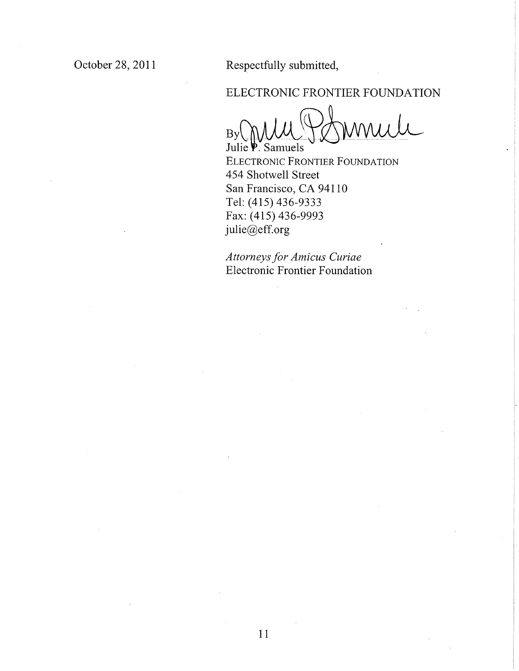Respectfully submitted,

## ELECTRONIC FRONTIER FOUNDATION

 $\overline{\mathcal{L}}$ Julie P. Samuels

ELECTRONIC FRONTIER FOUNDATION 454 Shotwell Street San Francisco, CA 94110 Tel: (415) 436-9333 Fax: (415) 436-9993 [julie@eff.org](mailto:julie@eff.org)

*Attorneys for Amicus Curiae*  Electronic Frontier Foundation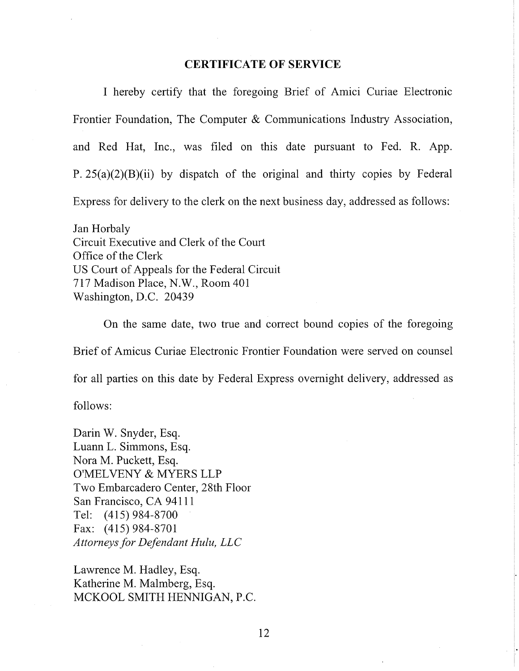#### **CERTIFICATE OF SERVICE**

I hereby certify that the foregoing Brief of Amici Curiae Electronic Frontier Foundation, The Computer & Communications Industry Association, and Red Hat, Inc., was filed on this date pursuant to Fed. R. App. P.  $25(a)(2)(B)(ii)$  by dispatch of the original and thirty copies by Federal Express for delivery to the clerk on the next business day, addressed as follows:

Jan Horbaly Circuit Executive and Clerk of the Court Office of the Clerk US Court of Appeals for the Federal Circuit 717 Madison Place, N.W., Room 401 Washington, D.C. 20439

On the same date, two true and correct bound copies of the foregoing Brief of Amicus Curiae Electronic Frontier Foundation were served on counsel for all parties on this date by Federal Express overnight delivery, addressed as

follows:

Darin W. Snyder, Esq. Luann L. Simmons, Esq. Nora M. Puckett, Esq. O'MELVENY & MYERS LLP Two Embarcadero Center, 28th Floor San Francisco, CA94111 Tel: (415)984-8700 Fax: (415) 984-8701 *Attorneys for Defendant Hulu, LLC* 

Lawrence M. Hadley, Esq. Katherine M. Malmberg, Esq. MCKOOL SMITH HENNIGAN, P.C.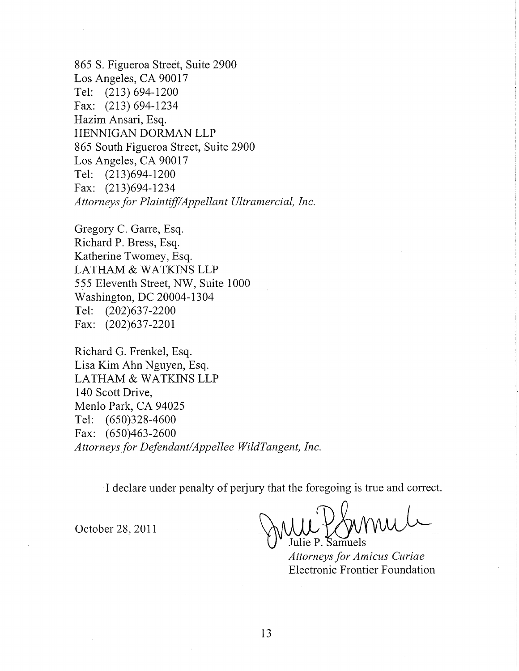865 S. Figueroa Street, Suite 2900 Los Angeles, CA 90017 Tel: (213) 694-1200 Fax: (213)694-1234 Hazim Ansari, Esq. HENNIGAN DORMAN LLP 865 South Figueroa Street, Suite 2900 Los Angeles, CA 90017 Tel: (213)694-1200 Fax: (213)694-1234 *Attorneys for Plaintiff/Appellant Ultramercial, Inc.* 

Gregory C. Garre, Esq. Richard P. Bress, Esq. Katherine Twomey, Esq. LATHAM & WATKINS LLP 555 Eleventh Street, NW, Suite 1000 Washington, DC 20004-1304 Tel: (202)637-2200 Fax: (202)637-2201

Richard G. Frenkel, Esq. Lisa Kim Ahn Nguyen, Esq. LATHAM & WATKINS LLP 140 Scott Drive, Menlo Park, CA 94025 Tel: (650)328-4600 Fax: (650)463-2600 *Attorneys for Defendant/Appellee WildTangent, Inc.* 

I declare under penalty of perjury that the foregoing is true and correct.

October 28, 2011

Samuels

*Attorneys for Amicus Curiae*  Electronic Frontier Foundation